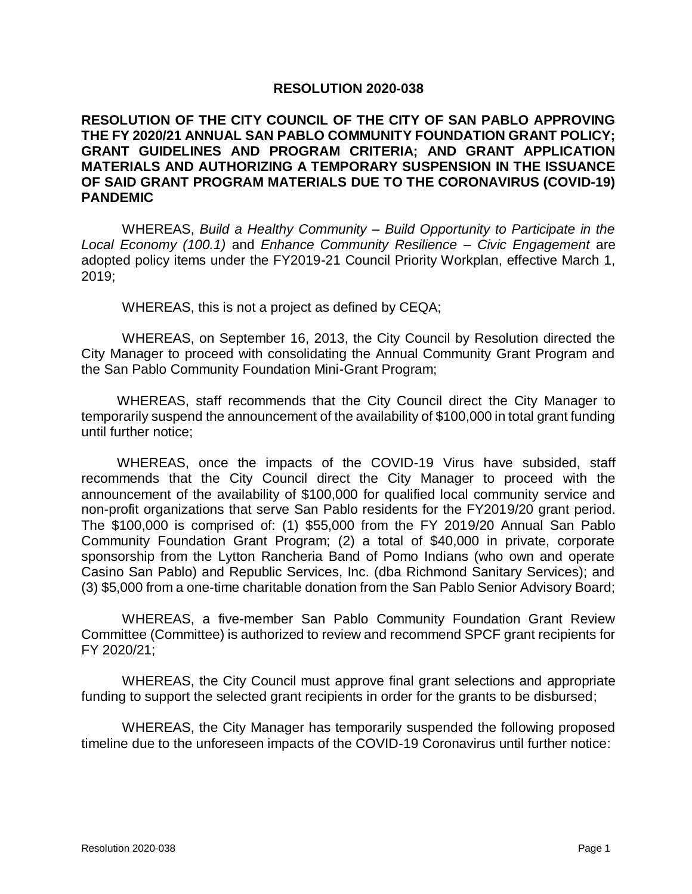## **RESOLUTION 2020-038**

## **RESOLUTION OF THE CITY COUNCIL OF THE CITY OF SAN PABLO APPROVING THE FY 2020/21 ANNUAL SAN PABLO COMMUNITY FOUNDATION GRANT POLICY; GRANT GUIDELINES AND PROGRAM CRITERIA; AND GRANT APPLICATION MATERIALS AND AUTHORIZING A TEMPORARY SUSPENSION IN THE ISSUANCE OF SAID GRANT PROGRAM MATERIALS DUE TO THE CORONAVIRUS (COVID-19) PANDEMIC**

WHEREAS, *Build a Healthy Community – Build Opportunity to Participate in the Local Economy (100.1)* and *Enhance Community Resilience – Civic Engagement* are adopted policy items under the FY2019-21 Council Priority Workplan, effective March 1, 2019;

WHEREAS, this is not a project as defined by CEQA;

WHEREAS, on September 16, 2013, the City Council by Resolution directed the City Manager to proceed with consolidating the Annual Community Grant Program and the San Pablo Community Foundation Mini-Grant Program;

WHEREAS, staff recommends that the City Council direct the City Manager to temporarily suspend the announcement of the availability of \$100,000 in total grant funding until further notice;

WHEREAS, once the impacts of the COVID-19 Virus have subsided, staff recommends that the City Council direct the City Manager to proceed with the announcement of the availability of \$100,000 for qualified local community service and non-profit organizations that serve San Pablo residents for the FY2019/20 grant period. The \$100,000 is comprised of: (1) \$55,000 from the FY 2019/20 Annual San Pablo Community Foundation Grant Program; (2) a total of \$40,000 in private, corporate sponsorship from the Lytton Rancheria Band of Pomo Indians (who own and operate Casino San Pablo) and Republic Services, Inc. (dba Richmond Sanitary Services); and (3) \$5,000 from a one-time charitable donation from the San Pablo Senior Advisory Board;

WHEREAS, a five-member San Pablo Community Foundation Grant Review Committee (Committee) is authorized to review and recommend SPCF grant recipients for FY 2020/21;

WHEREAS, the City Council must approve final grant selections and appropriate funding to support the selected grant recipients in order for the grants to be disbursed;

WHEREAS, the City Manager has temporarily suspended the following proposed timeline due to the unforeseen impacts of the COVID-19 Coronavirus until further notice: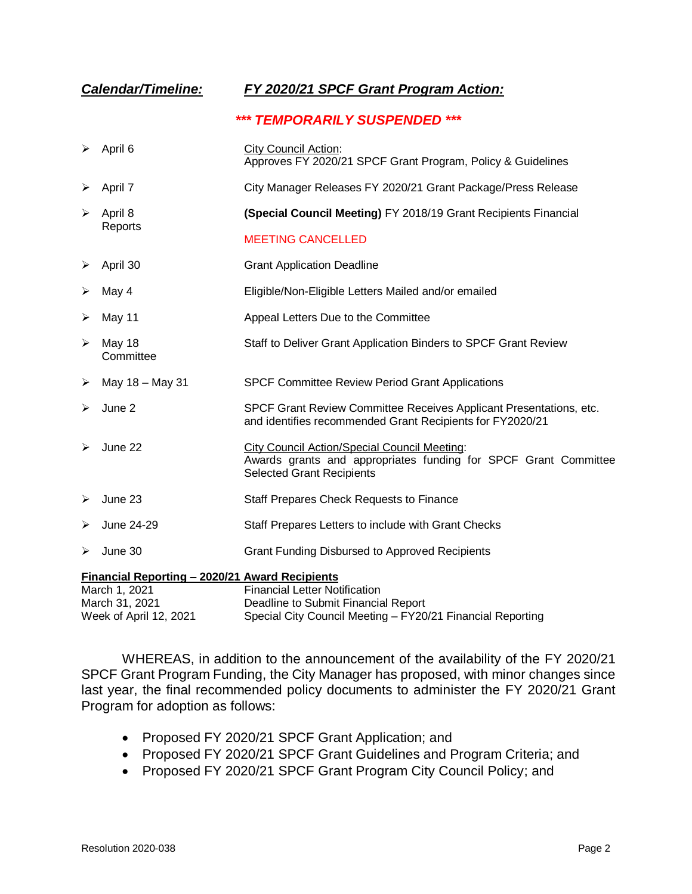## *Calendar/Timeline: FY 2020/21 SPCF Grant Program Action:*

## *\*\*\* TEMPORARILY SUSPENDED \*\*\**

|                                                       | $\triangleright$ April 6         | <b>City Council Action:</b><br>Approves FY 2020/21 SPCF Grant Program, Policy & Guidelines                                                                 |  |  |
|-------------------------------------------------------|----------------------------------|------------------------------------------------------------------------------------------------------------------------------------------------------------|--|--|
| ➤                                                     | April 7                          | City Manager Releases FY 2020/21 Grant Package/Press Release                                                                                               |  |  |
| ➤                                                     | April 8<br>Reports               | (Special Council Meeting) FY 2018/19 Grant Recipients Financial                                                                                            |  |  |
|                                                       |                                  | <b>MEETING CANCELLED</b>                                                                                                                                   |  |  |
|                                                       | $\triangleright$ April 30        | <b>Grant Application Deadline</b>                                                                                                                          |  |  |
| ➤                                                     | May 4                            | Eligible/Non-Eligible Letters Mailed and/or emailed                                                                                                        |  |  |
| ➤                                                     | May 11                           | Appeal Letters Due to the Committee                                                                                                                        |  |  |
| ➤                                                     | May 18<br>Committee              | Staff to Deliver Grant Application Binders to SPCF Grant Review                                                                                            |  |  |
|                                                       | $\triangleright$ May 18 - May 31 | <b>SPCF Committee Review Period Grant Applications</b>                                                                                                     |  |  |
| ➤                                                     | June 2                           | SPCF Grant Review Committee Receives Applicant Presentations, etc.<br>and identifies recommended Grant Recipients for FY2020/21                            |  |  |
|                                                       | June 22                          | <b>City Council Action/Special Council Meeting:</b><br>Awards grants and appropriates funding for SPCF Grant Committee<br><b>Selected Grant Recipients</b> |  |  |
| ➤                                                     | June 23                          | Staff Prepares Check Requests to Finance                                                                                                                   |  |  |
| ≻                                                     | June 24-29                       | Staff Prepares Letters to include with Grant Checks                                                                                                        |  |  |
| ➤                                                     | June 30                          | <b>Grant Funding Disbursed to Approved Recipients</b>                                                                                                      |  |  |
| <b>Financial Reporting - 2020/21 Award Recipients</b> |                                  |                                                                                                                                                            |  |  |
| March 1, 2021                                         |                                  | <b>Financial Letter Notification</b>                                                                                                                       |  |  |
| March 31, 2021                                        |                                  | Deadline to Submit Financial Report                                                                                                                        |  |  |
| Week of April 12, 2021                                |                                  | Special City Council Meeting - FY20/21 Financial Reporting                                                                                                 |  |  |

WHEREAS, in addition to the announcement of the availability of the FY 2020/21 SPCF Grant Program Funding, the City Manager has proposed, with minor changes since last year, the final recommended policy documents to administer the FY 2020/21 Grant Program for adoption as follows:

- Proposed FY 2020/21 SPCF Grant Application; and
- Proposed FY 2020/21 SPCF Grant Guidelines and Program Criteria; and
- Proposed FY 2020/21 SPCF Grant Program City Council Policy; and